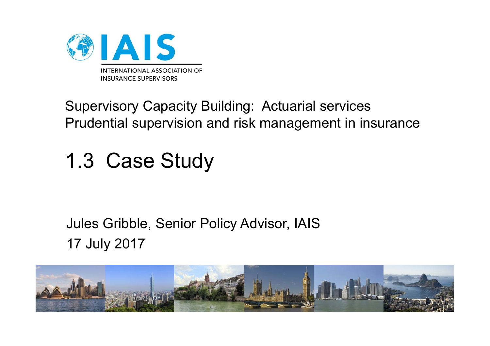

#### Supervisory Capacity Building: Actuarial services Prudential supervision and risk management in insurance

# 1.3 Case Study

#### Jules Gribble, Senior Policy Advisor, IAIS 17 July 2017

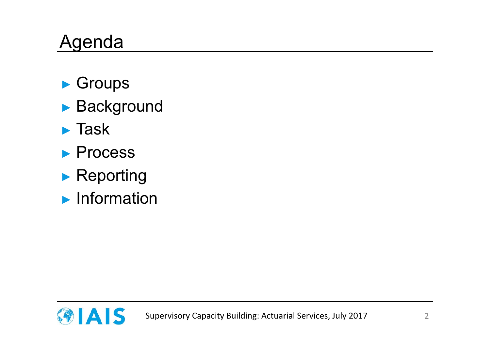## Agenda

- ► Groups
- ► Background
- ► Task
- ► Process
- ► Reporting
- ► Information

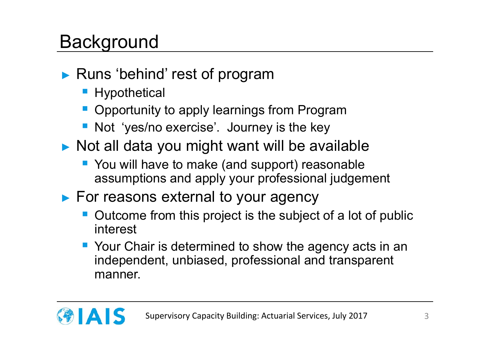### **Background**

- ► Runs 'behind' rest of program
	- **Hypothetical**
	- **Opportunity to apply learnings from Program**
	- **Not 'yes/no exercise'. Journey is the key**
- ► Not all data you might want will be available
	- You will have to make (and support) reasonable assumptions and apply your professional judgement
- ► For reasons external to your agency
	- Outcome from this project is the subject of a lot of public interest
	- **Your Chair is determined to show the agency acts in an** independent, unbiased, professional and transparent manner.

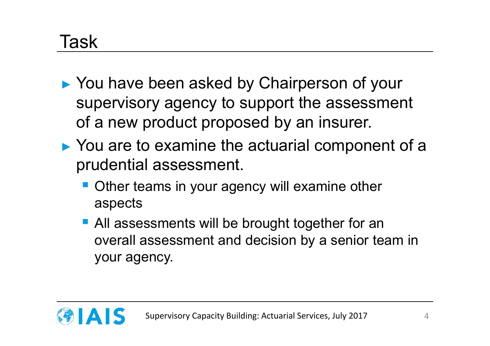#### Task

- ► You have been asked by Chairperson of your supervisory agency to support the assessment of a new product proposed by an insurer.
- ► You are to examine the actuarial component of a prudential assessment.
	- Other teams in your agency will examine other aspects
	- **All assessments will be brought together for an** overall assessment and decision by a senior team in your agency.

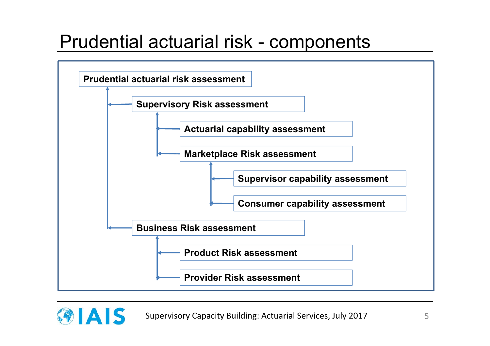#### Prudential actuarial risk - components



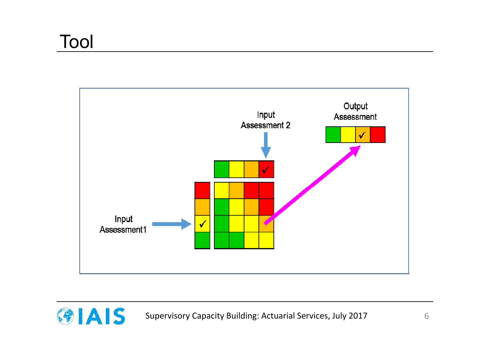

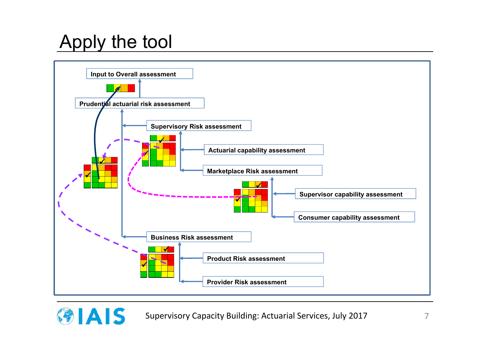## Apply the tool

GIAIS



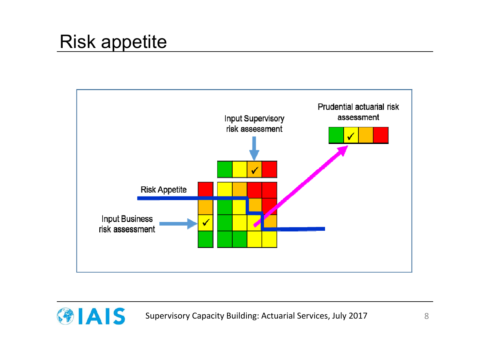#### Risk appetite



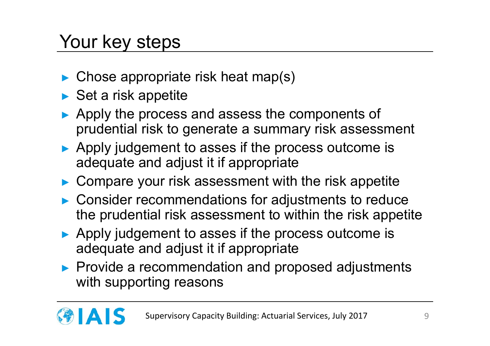## Your key steps

- ► Chose appropriate risk heat map(s)
- ► Set a risk appetite
- ► Apply the process and assess the components of prudential risk to generate a summary risk assessment
- ► Apply judgement to asses if the process outcome is adequate and adjust it if appropriate
- ► Compare your risk assessment with the risk appetite
- ► Consider recommendations for adjustments to reduce the prudential risk assessment to within the risk appetite
- ► Apply judgement to asses if the process outcome is adequate and adjust it if appropriate
- ► Provide a recommendation and proposed adjustments with supporting reasons

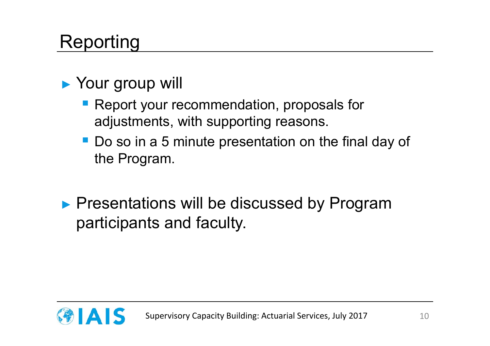## Reporting

#### ► Your group will

- **Report your recommendation, proposals for** adjustments, with supporting reasons.
- Do so in a 5 minute presentation on the final day of the Program.
- ▶ Presentations will be discussed by Program participants and faculty.

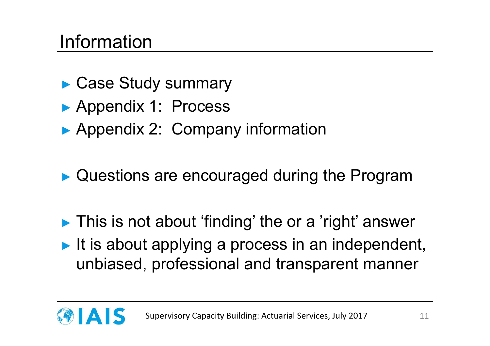#### Information

- ► Case Study summary
- ► Appendix 1: Process
- ▶ Appendix 2: Company information
- ► Questions are encouraged during the Program
- ► This is not about 'finding' the or a 'right' answer
- $\blacktriangleright$  It is about applying a process in an independent, unbiased, professional and transparent manner